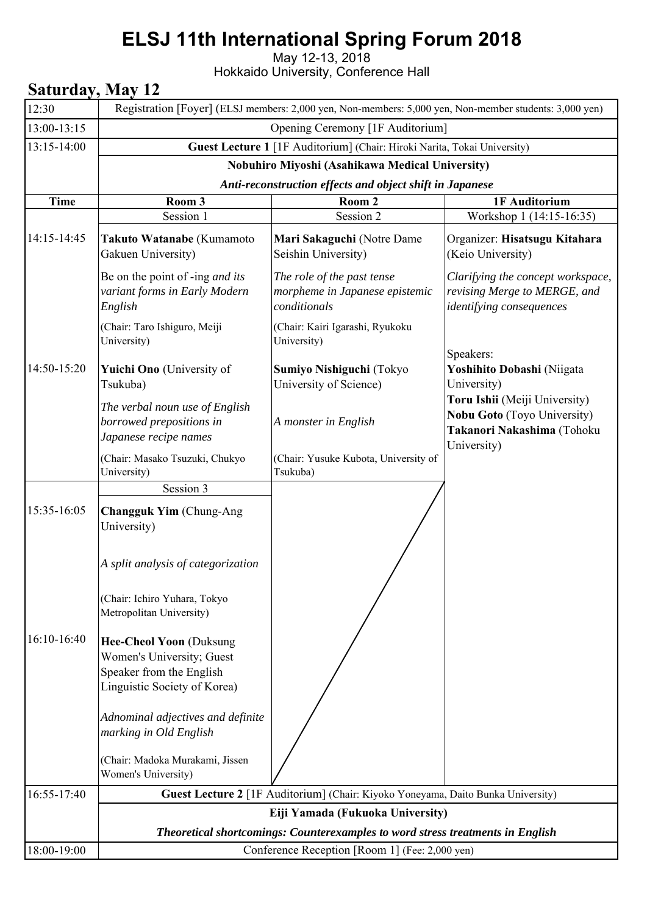## **ELSJ 11th International Spring Forum 2018**

May 12-13, 2018

Hokkaido University, Conference Hall

## **Saturday, May 12**

| 12:30       | Registration [Foyer] (ELSJ members: 2,000 yen, Non-members: 5,000 yen, Non-member students: 3,000 yen)                  |                                                                                  |                                                                                                                  |  |  |  |
|-------------|-------------------------------------------------------------------------------------------------------------------------|----------------------------------------------------------------------------------|------------------------------------------------------------------------------------------------------------------|--|--|--|
| 13:00-13:15 | Opening Ceremony [1F Auditorium]                                                                                        |                                                                                  |                                                                                                                  |  |  |  |
| 13:15-14:00 | Guest Lecture 1 [1F Auditorium] (Chair: Hiroki Narita, Tokai University)                                                |                                                                                  |                                                                                                                  |  |  |  |
|             | Nobuhiro Miyoshi (Asahikawa Medical University)                                                                         |                                                                                  |                                                                                                                  |  |  |  |
|             | Anti-reconstruction effects and object shift in Japanese                                                                |                                                                                  |                                                                                                                  |  |  |  |
| <b>Time</b> | Room 3                                                                                                                  | Room 2                                                                           | 1F Auditorium                                                                                                    |  |  |  |
|             | Session 1                                                                                                               | Session 2                                                                        | Workshop 1 (14:15-16:35)                                                                                         |  |  |  |
| 14:15-14:45 | Takuto Watanabe (Kumamoto<br>Gakuen University)                                                                         | Mari Sakaguchi (Notre Dame<br>Seishin University)                                | Organizer: Hisatsugu Kitahara<br>(Keio University)                                                               |  |  |  |
|             | Be on the point of -ing and its<br>variant forms in Early Modern<br>English                                             | The role of the past tense<br>morpheme in Japanese epistemic<br>conditionals     | Clarifying the concept workspace,<br>revising Merge to MERGE, and<br>identifying consequences                    |  |  |  |
|             | (Chair: Taro Ishiguro, Meiji<br>University)                                                                             | (Chair: Kairi Igarashi, Ryukoku<br>University)                                   | Speakers:                                                                                                        |  |  |  |
| 14:50-15:20 | Yuichi Ono (University of<br>Tsukuba)                                                                                   | Sumiyo Nishiguchi (Tokyo<br>University of Science)                               | Yoshihito Dobashi (Niigata<br>University)                                                                        |  |  |  |
|             | The verbal noun use of English<br>borrowed prepositions in<br>Japanese recipe names                                     | A monster in English                                                             | Toru Ishii (Meiji University)<br><b>Nobu Goto</b> (Toyo University)<br>Takanori Nakashima (Tohoku<br>University) |  |  |  |
|             | (Chair: Masako Tsuzuki, Chukyo<br>University)                                                                           | (Chair: Yusuke Kubota, University of<br>Tsukuba)                                 |                                                                                                                  |  |  |  |
|             | Session 3                                                                                                               |                                                                                  |                                                                                                                  |  |  |  |
| 15:35-16:05 | <b>Changguk Yim (Chung-Ang</b><br>University)                                                                           |                                                                                  |                                                                                                                  |  |  |  |
|             | A split analysis of categorization                                                                                      |                                                                                  |                                                                                                                  |  |  |  |
|             | (Chair: Ichiro Yuhara, Tokyo<br>Metropolitan University)                                                                |                                                                                  |                                                                                                                  |  |  |  |
| 16:10-16:40 | <b>Hee-Cheol Yoon (Duksung</b><br>Women's University; Guest<br>Speaker from the English<br>Linguistic Society of Korea) |                                                                                  |                                                                                                                  |  |  |  |
|             | Adnominal adjectives and definite<br>marking in Old English<br>(Chair: Madoka Murakami, Jissen<br>Women's University)   |                                                                                  |                                                                                                                  |  |  |  |
| 16:55-17:40 |                                                                                                                         | Guest Lecture 2 [1F Auditorium] (Chair: Kiyoko Yoneyama, Daito Bunka University) |                                                                                                                  |  |  |  |
|             |                                                                                                                         | Eiji Yamada (Fukuoka University)                                                 |                                                                                                                  |  |  |  |
|             | Theoretical shortcomings: Counterexamples to word stress treatments in English                                          |                                                                                  |                                                                                                                  |  |  |  |
| 18:00-19:00 |                                                                                                                         | Conference Reception [Room 1] (Fee: 2,000 yen)                                   |                                                                                                                  |  |  |  |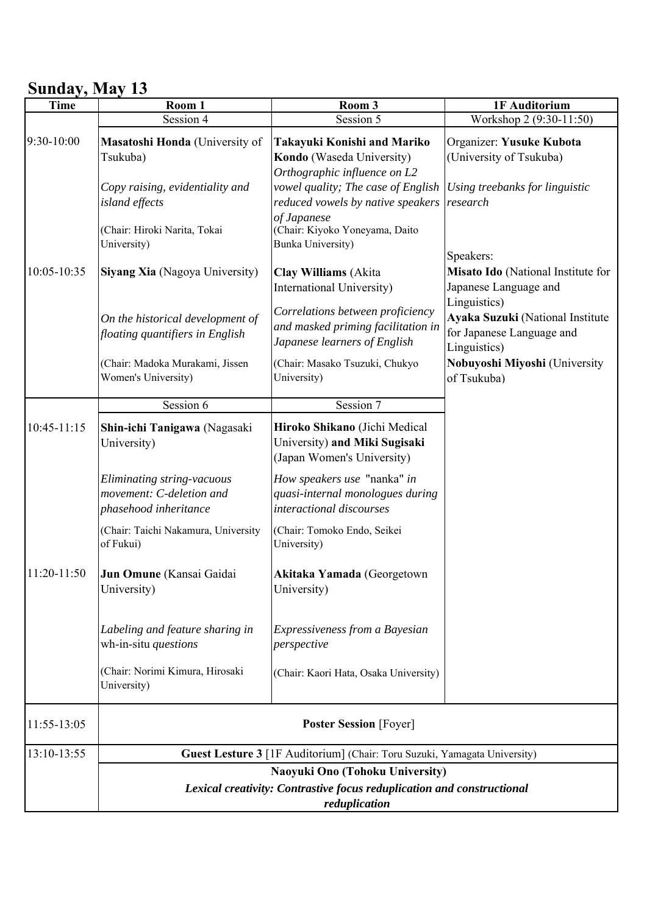## **Sunday, May 13**

| <b>Time</b> | Room 1                                                                                                    | Room 3                                                                                                                                                   | 1F Auditorium                                                                 |  |  |
|-------------|-----------------------------------------------------------------------------------------------------------|----------------------------------------------------------------------------------------------------------------------------------------------------------|-------------------------------------------------------------------------------|--|--|
|             | Session 4                                                                                                 | Session 5                                                                                                                                                | Workshop 2 (9:30-11:50)                                                       |  |  |
| 9:30-10:00  | Masatoshi Honda (University of<br>Tsukuba)                                                                | Takayuki Konishi and Mariko<br>Kondo (Waseda University)                                                                                                 | Organizer: Yusuke Kubota<br>(University of Tsukuba)                           |  |  |
|             | Copy raising, evidentiality and<br>island effects<br>(Chair: Hiroki Narita, Tokai                         | Orthographic influence on L2<br>vowel quality; The case of English<br>reduced vowels by native speakers<br>of Japanese<br>(Chair: Kiyoko Yoneyama, Daito | Using treebanks for linguistic<br>research                                    |  |  |
|             | University)                                                                                               | <b>Bunka University)</b>                                                                                                                                 | Speakers:                                                                     |  |  |
| 10:05-10:35 | Siyang Xia (Nagoya University)                                                                            | <b>Clay Williams</b> (Akita<br>International University)                                                                                                 | Misato Ido (National Institute for<br>Japanese Language and<br>Linguistics)   |  |  |
|             | On the historical development of<br>floating quantifiers in English                                       | Correlations between proficiency<br>and masked priming facilitation in<br>Japanese learners of English                                                   | Ayaka Suzuki (National Institute<br>for Japanese Language and<br>Linguistics) |  |  |
|             | (Chair: Madoka Murakami, Jissen<br>Women's University)                                                    | (Chair: Masako Tsuzuki, Chukyo<br>University)                                                                                                            | Nobuyoshi Miyoshi (University<br>of Tsukuba)                                  |  |  |
|             | Session 6                                                                                                 | Session 7                                                                                                                                                |                                                                               |  |  |
| 10:45-11:15 | Shin-ichi Tanigawa (Nagasaki<br>University)                                                               | Hiroko Shikano (Jichi Medical<br>University) and Miki Sugisaki<br>(Japan Women's University)                                                             |                                                                               |  |  |
|             | Eliminating string-vacuous<br>movement: C-deletion and<br>phasehood inheritance                           | How speakers use "nanka" in<br>quasi-internal monologues during<br>interactional discourses                                                              |                                                                               |  |  |
|             | (Chair: Taichi Nakamura, University<br>of Fukui)                                                          | (Chair: Tomoko Endo, Seikei<br>University)                                                                                                               |                                                                               |  |  |
| 11:20-11:50 | Jun Omune (Kansai Gaidai<br>University)                                                                   | Akitaka Yamada (Georgetown<br>University)                                                                                                                |                                                                               |  |  |
|             | Labeling and feature sharing in<br>wh-in-situ questions                                                   | Expressiveness from a Bayesian<br>perspective                                                                                                            |                                                                               |  |  |
|             | (Chair: Norimi Kimura, Hirosaki<br>University)                                                            | (Chair: Kaori Hata, Osaka University)                                                                                                                    |                                                                               |  |  |
| 11:55-13:05 | <b>Poster Session</b> [Foyer]                                                                             |                                                                                                                                                          |                                                                               |  |  |
| 13:10-13:55 | Guest Lesture 3 [1F Auditorium] (Chair: Toru Suzuki, Yamagata University)                                 |                                                                                                                                                          |                                                                               |  |  |
|             | Naoyuki Ono (Tohoku University)<br>Lexical creativity: Contrastive focus reduplication and constructional |                                                                                                                                                          |                                                                               |  |  |
|             |                                                                                                           |                                                                                                                                                          |                                                                               |  |  |
|             | reduplication                                                                                             |                                                                                                                                                          |                                                                               |  |  |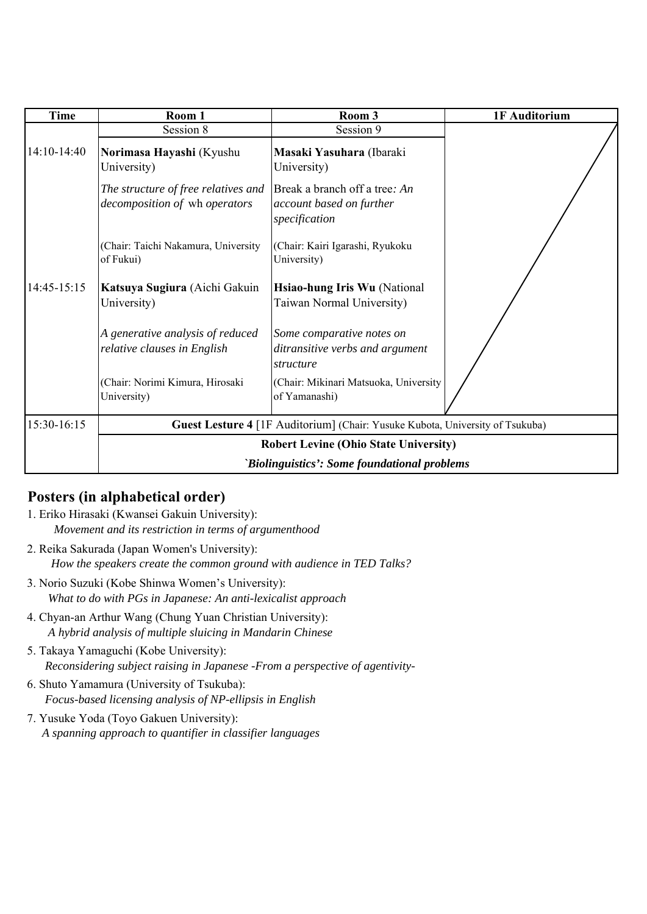| <b>Time</b> | Room 1                                                               | Room 3                                                                        | 1F Auditorium |  |
|-------------|----------------------------------------------------------------------|-------------------------------------------------------------------------------|---------------|--|
|             | Session 8                                                            | Session 9                                                                     |               |  |
| 14:10-14:40 | Norimasa Hayashi (Kyushu<br>University)                              | Masaki Yasuhara (Ibaraki<br>University)                                       |               |  |
|             | The structure of free relatives and<br>decomposition of wh operators | Break a branch off a tree: An<br>account based on further<br>specification    |               |  |
|             | (Chair: Taichi Nakamura, University<br>of Fukui)                     | (Chair: Kairi Igarashi, Ryukoku<br>University)                                |               |  |
| 14:45-15:15 | Katsuya Sugiura (Aichi Gakuin<br>University)                         | Hsiao-hung Iris Wu (National<br>Taiwan Normal University)                     |               |  |
|             | A generative analysis of reduced<br>relative clauses in English      | Some comparative notes on<br>ditransitive verbs and argument<br>structure     |               |  |
|             | (Chair: Norimi Kimura, Hirosaki<br>University)                       | (Chair: Mikinari Matsuoka, University<br>of Yamanashi)                        |               |  |
| 15:30-16:15 |                                                                      | Guest Lesture 4 [1F Auditorium] (Chair: Yusuke Kubota, University of Tsukuba) |               |  |
|             | <b>Robert Levine (Ohio State University)</b>                         |                                                                               |               |  |
|             | 'Biolinguistics': Some foundational problems                         |                                                                               |               |  |

## **Posters (in alphabetical order)**

- 1. Eriko Hirasaki (Kwansei Gakuin University): *Movement and its restriction in terms of argumenthood*
- 2. Reika Sakurada (Japan Women's University): *How the speakers create the common ground with audience in TED Talks?*
- 3. Norio Suzuki (Kobe Shinwa Women's University): *What to do with PGs in Japanese: An anti-lexicalist approach*
- 4. Chyan-an Arthur Wang (Chung Yuan Christian University): *A hybrid analysis of multiple sluicing in Mandarin Chinese*
- 5. Takaya Yamaguchi (Kobe University): *Reconsidering subject raising in Japanese -From a perspective of agentivity-*
- 6. Shuto Yamamura (University of Tsukuba): *Focus-based licensing analysis of NP-ellipsis in English*
- 7. Yusuke Yoda (Toyo Gakuen University): *A spanning approach to quantifier in classifier languages*